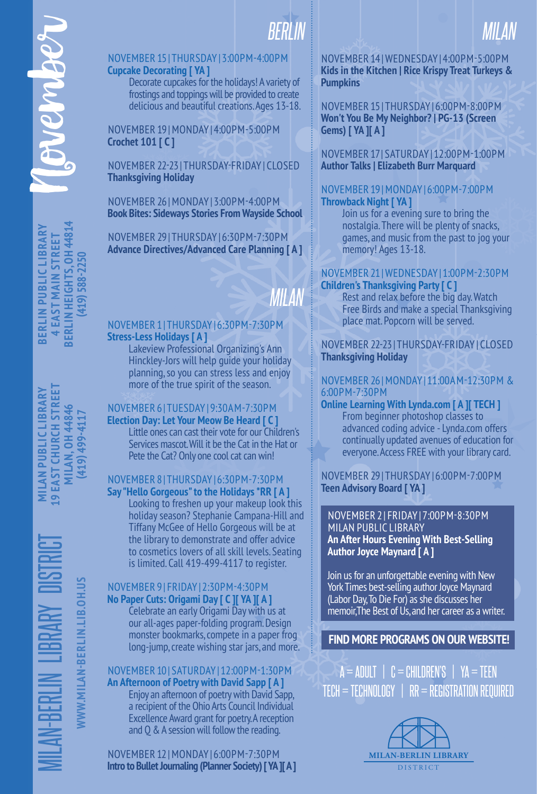# *BERLIN*

# NOVEMBER 15 | THURSDAY | 3:00PM-4:00PM **Cupcake Decorating [ YA ]**

Decorate cupcakes for the holidays! A variety of frostings and toppings will be provided to create delicious and beautiful creations. Ages 13-18.

NOVEMBER 19 | MONDAY | 4:00PM-5:00PM **Crochet 101 [ C ]**

NOVEMBER 22-23 | THURSDAY-FRIDAY | CLOSED **Thanksgiving Holiday**

NOVEMBER 26 | MONDAY | 3:00PM-4:00PM **Book Bites: Sideways Stories From Wayside School**

NOVEMBER 29 | THURSDAY | 6:30PM-7:30PM **Advance Directives/Advanced Care Planning [ A ]**

# *MILAN*

# NOVEMBER 1 | THURSDAY | 6:30PM-7:30PM **Stress-Less Holidays [ A ]**

Lakeview Professional Organizing's Ann Hinckley-Jors will help guide your holiday planning, so you can stress less and enjoy more of the true spirit of the season.

# NOVEMBER 6 | TUESDAY | 9:30AM-7:30PM

**Election Day: Let Your Meow Be Heard [ C ]**

Little ones can cast their vote for our Children's Services mascot. Will it be the Cat in the Hat or Pete the Cat? Only one cool cat can win!

### NOVEMBER 8 | THURSDAY | 6:30PM-7:30PM **Say "Hello Gorgeous" to the Holidays \*RR [ A ]**

Looking to freshen up your makeup look this holiday season? Stephanie Campana-Hill and Tiffany McGee of Hello Gorgeous will be at the library to demonstrate and offer advice to cosmetics lovers of all skill levels. Seating is limited. Call 419-499-4117 to register.

# NOVEMBER 9 | FRIDAY | 2:30PM-4:30PM **No Paper Cuts: Origami Day [ C ][ YA ][ A ]**

Celebrate an early Origami Day with us at our all-ages paper-folding program. Design monster bookmarks, compete in a paper frog long-jump, create wishing star jars, and more.

# NOVEMBER 10 | SATURDAY | 12:00PM-1:30PM **An Afternoon of Poetry with David Sapp [ A ]**

Enjoy an afternoon of poetry with David Sapp, a recipient of the Ohio Arts Council Individual Excellence Award grant for poetry. A reception and Q & A session will follow the reading.

NOVEMBER 12 | MONDAY | 6:00PM-7:30PM **Intro to Bullet Journaling (Planner Society) [ YA ][ A ]**

# NOVEMBER 14 | WEDNESDAY | 4:00PM-5:00PM **Kids in the Kitchen | Rice Krispy Treat Turkeys & Pumpkins**

*MILAN*

NOVEMBER 15 | THURSDAY | 6:00PM-8:00PM **Won't You Be My Neighbor? | PG-13 (Screen Gems) [ YA ][ A ]**

# NOVEMBER 17 | SATURDAY | 12:00PM-1:00PM **Author Talks | Elizabeth Burr Marquard**

# NOVEMBER 19 | MONDAY | 6:00PM-7:00PM **Throwback Night [ YA ]**

Join us for a evening sure to bring the nostalgia. There will be plenty of snacks, games, and music from the past to jog your memory! Ages 13-18.

# NOVEMBER 21 | WEDNESDAY | 1:00PM-2:30PM **Children's Thanksgiving Party [ C ]**

Rest and relax before the big day. Watch Free Birds and make a special Thanksgiving place mat. Popcorn will be served.

# NOVEMBER 22-23 | THURSDAY-FRIDAY | CLOSED **Thanksgiving Holiday**

# NOVEMBER 26 | MONDAY | 11:00AM-12:30PM & 6:00PM-7:30PM

#### **Online Learning With Lynda.com [ A ][ TECH ]** From beginner photoshop classes to advanced coding advice - Lynda.com offers continually updated avenues of education for everyone. Access FREE with your library card.

# NOVEMBER 29 | THURSDAY | 6:00PM-7:00PM **Teen Advisory Board [ YA ]**

### NOVEMBER 2 | FRIDAY | 7:00PM-8:30PM MILAN PUBLIC LIBRARY **An After Hours Evening With Best-Selling Author Joyce Maynard [ A ]**

Join us for an unforgettable evening with New York Times best-selling author Joyce Maynard (Labor Day, To Die For) as she discusses her memoir,The Best of Us, and her career as a writer.

# **FIND MORE PROGRAMS ON OUR WEBSITE!**

 $A = ADULT \mid C = CHILDREN'S \mid YA = TEEN$ TECH = TECHNOLOGY | RR = REGISTRATION REQUIRED



WWW.MILAN-BERLIN.LIB.OH.US

**WWW.MILAN-BERLIN.LIB.OH.US**

MILAN-BERLIN LIBRARY DISTRICT **MILAN PUBLIC LIBRARY 19 EAST CHURCH STREET MILAN, OH 44846 MILAN PUBLIC LIBRARY L9 EAST CHURCH STREET MILAN, OH 44846** 

**(419) 499-4117**

419) 499-4117

**GNEW BLS** 

**BERLIN PUBLIC LIBRARY 4 EAST MAIN STREET BERLIN HEIGHTS, OH 44814 (419) 588-2250**

**BERLIN PUBLIC LIBRARY 4 EAST MAIN STREET**  **BERLIN HEIGHTS, OH 44814** 

419) 588-2250